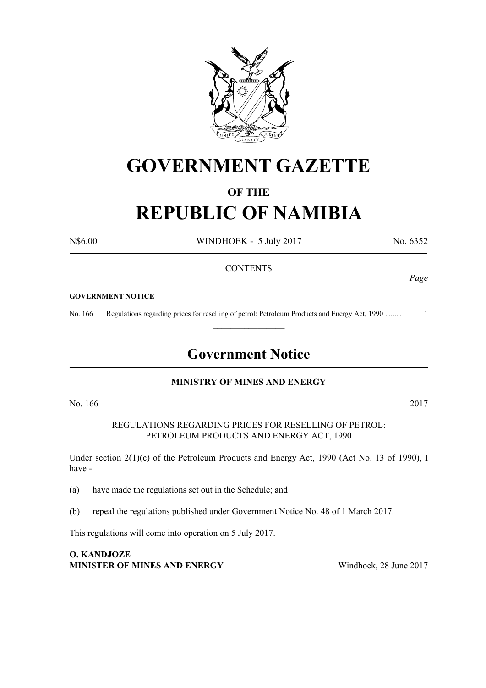

# **GOVERNMENT GAZETTE**

## **OF THE REPUBLIC OF NAMIBIA**

N\$6.00 WINDHOEK - 5 July 2017 No. 6352

#### **CONTENTS**

#### **GOVERNMENT NOTICE**

No. 166 Regulations regarding prices for reselling of petrol: Petroleum Products and Energy Act, 1990 ......... 1

### **Government Notice**

 $\frac{1}{2}$ 

#### **MINISTRY OF MINES AND ENERGY**

No. 166 2017

REGULATIONS REGARDING PRICES FOR RESELLING OF PETROL: PETROLEUM PRODUCTS AND ENERGY ACT, 1990

Under section 2(1)(c) of the Petroleum Products and Energy Act, 1990 (Act No. 13 of 1990), I have -

(a) have made the regulations set out in the Schedule; and

(b) repeal the regulations published under Government Notice No. 48 of 1 March 2017.

This regulations will come into operation on 5 July 2017.

**O. KANDJOZE Minister of Mines and Energy** Windhoek, 28 June 2017

*Page*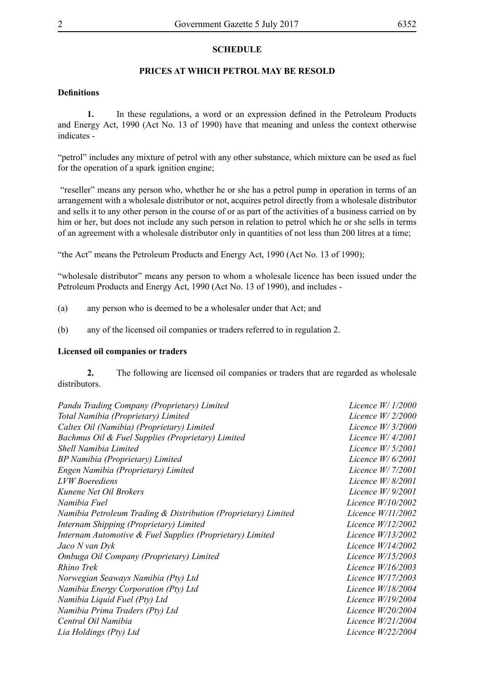#### **SCHEDULE**

#### **PRICES AT WHICH PETROL MAY BE RESOLD**

#### **Definitions**

**1.** In these regulations, a word or an expression defined in the Petroleum Products and Energy Act, 1990 (Act No. 13 of 1990) have that meaning and unless the context otherwise indicates -

"petrol" includes any mixture of petrol with any other substance, which mixture can be used as fuel for the operation of a spark ignition engine;

 "reseller" means any person who, whether he or she has a petrol pump in operation in terms of an arrangement with a wholesale distributor or not, acquires petrol directly from a wholesale distributor and sells it to any other person in the course of or as part of the activities of a business carried on by him or her, but does not include any such person in relation to petrol which he or she sells in terms of an agreement with a wholesale distributor only in quantities of not less than 200 litres at a time;

"the Act" means the Petroleum Products and Energy Act, 1990 (Act No. 13 of 1990);

"wholesale distributor" means any person to whom a wholesale licence has been issued under the Petroleum Products and Energy Act, 1990 (Act No. 13 of 1990), and includes -

- (a) any person who is deemed to be a wholesaler under that Act; and
- (b) any of the licensed oil companies or traders referred to in regulation 2.

#### **Licensed oil companies or traders**

**2.** The following are licensed oil companies or traders that are regarded as wholesale distributors.

| Pandu Trading Company (Proprietary) Limited                    | Licence $W/1/2000$  |
|----------------------------------------------------------------|---------------------|
| Total Namibia (Proprietary) Limited                            | Licence $W/2/2000$  |
| Caltex Oil (Namibia) (Proprietary) Limited                     | Licence $W/3/2000$  |
| Bachmus Oil & Fuel Supplies (Proprietary) Limited              | Licence $W/4/2001$  |
| Shell Namibia Limited                                          | Licence W/ 5/2001   |
| BP Namibia (Proprietary) Limited                               | Licence $W/6/2001$  |
| Engen Namibia (Proprietary) Limited                            | Licence W/ 7/2001   |
| <b>LVW</b> Boerediens                                          | Licence $W/8/2001$  |
| Kunene Net Oil Brokers                                         | Licence $W/9/2001$  |
| Namibia Fuel                                                   | Licence $W/10/2002$ |
| Namibia Petroleum Trading & Distribution (Proprietary) Limited | Licence $W/11/2002$ |
| Internam Shipping (Proprietary) Limited                        | Licence W/12/2002   |
| Internam Automotive & Fuel Supplies (Proprietary) Limited      | Licence W/13/2002   |
| Jaco N van Dyk                                                 | Licence $W/14/2002$ |
| Ombuga Oil Company (Proprietary) Limited                       | Licence $W/15/2003$ |
| Rhino Trek                                                     | Licence $W/16/2003$ |
| Norwegian Seaways Namibia (Pty) Ltd                            | Licence W/17/2003   |
| Namibia Energy Corporation (Pty) Ltd                           | Licence W/18/2004   |
| Namibia Liquid Fuel (Pty) Ltd                                  | Licence $W/19/2004$ |
| Namibia Prima Traders (Pty) Ltd                                | Licence $W/20/2004$ |
| Central Oil Namibia                                            | Licence W/21/2004   |
| Lia Holdings (Pty) Ltd                                         | Licence $W/22/2004$ |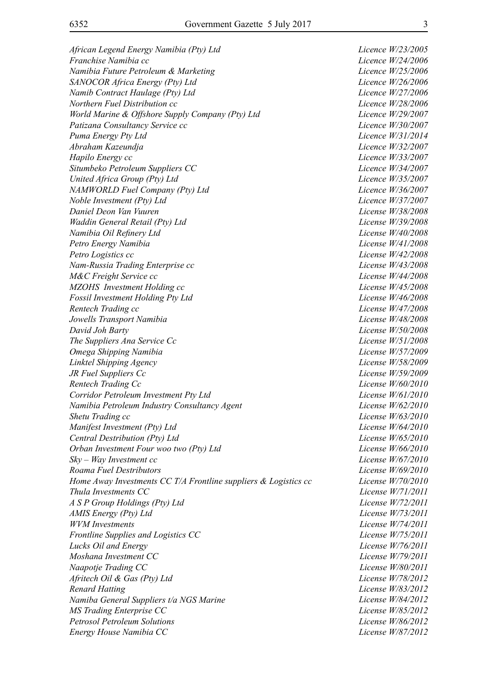*African Legend Energy Namibia (Pty) Ltd Licence W/23/2005 Franchise Namibia cc* Licence W/24/2006 *Namibia Future Petroleum & Marketing Licence W/25/2006 SANOCOR Africa Energy (Pty) Ltd Licence W/26/2006 Namib Contract Haulage (Pty) Ltd Licence W/27/2006 Northern Fuel Distribution cc Licence W/28/2006 World Marine & Offshore Supply Company (Pty) Ltd Licence W/29/2007* Patizana Consultancy Service cc and the service of Licence W/30/2007 *Puma Energy Pty Ltd Licence W/31/2014 Abraham Kazeundja Licence W/32/2007 Hapilo Energy cc Licence W/33/2007 Situmbeko Petroleum Suppliers CC Licence W/34/2007 United Africa Group (Pty) Ltd Licence W/35/2007 NAMWORLD Fuel Company (Pty) Ltd Licence W/36/2007 Noble Investment (Pty) Ltd Licence W/37/2007 Daniel Deon Van Vuuren License W/38/2008 Waddin General Retail (Pty) Ltd License W/39/2008 Namibia Oil Refinery Ltd License W/40/2008 Petro Energy Namibia License W/41/2008 Petro Logistics cc License W/42/2008 Nam-Russia Trading Enterprise cc License W/43/2008 M&C Freight Service cc License W/44/2008 MZOHS Investment Holding cc License W/45/2008 Fossil Investment Holding Pty Ltd License W/46/2008 Rentech Trading cc License W/47/2008 Jowells Transport Namibia License W/48/2008 David Joh Barty License W/50/2008 The Suppliers Ana Service Cc License W/51/2008 Omega Shipping Namibia License W/57/2009 Linktel Shipping Agency License W/58/2009 JR Fuel Suppliers Cc* License W/59/2009 *Rentech Trading Cc Cc License W/60/2010 Corridor Petroleum Investment Pty Ltd License W/61/2010 Namibia Petroleum Industry Consultancy Agent License W/62/2010 Shetu Trading cc License W/63/2010 Manifest Investment (Pty) Ltd License W/64/2010 Central Destribution (Pty) Ltd License W/65/2010 Orban Investment Four woo two (Pty) Ltd License W/66/2010 Sky – Way Investment cc License W/67/2010 Roama Fuel Destributors License W/69/2010 Home Away Investments CC T/A Frontline suppliers & Logistics cc License W/70/2010 Thula Investments CC License W/71/2011 A S P Group Holdings (Pty) Ltd License W/72/2011 AMIS Energy (Pty) Ltd License W/73/2011 WVM Investments License W/74/2011 Frontline Supplies and Logistics CC* License W/75/2011 *Lucks Oil and Energy License W/76/2011 Moshana Investment CC License W/79/2011 Naapotje Trading CC* License W/80/2011 *Afritech Oil & Gas (Pty) Ltd License W/78/2012 Renard Hatting License W/83/2012 Namiba General Suppliers t/a NGS Marine License W/84/2012 MS Trading Enterprise CC* License W/85/2012 *Petrosol Petroleum Solutions License W/86/2012 Energy House Namibia CC* License W/87/2012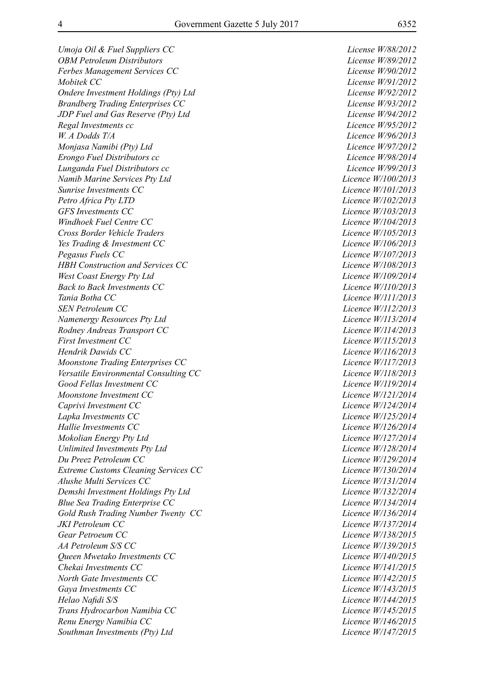*Umoja Oil & Fuel Suppliers CC License W/88/2012 OBM Petroleum Distributors License W/89/2012 Ferbes Management Services CC License W/90/2012 Mobitek CC License W/91/2012 Ondere Investment Holdings (Pty) Ltd License W/92/2012 Brandberg Trading Enterprises CC* License W/93/2012 *JDP Fuel and Gas Reserve (Pty) Ltd License W/94/2012 Regal Investments cc Licence W/95/2012 W. A Dodds T/A Licence W/96/2013 Monjasa Namibi (Pty) Ltd Licence W/97/2012 Erongo Fuel Distributors cc Licence W/98/2014 Lunganda Fuel Distributors cc Licence W/99/2013 Namib Marine Services Pty Ltd Licence W/100/2013 Sunrise Investments CC Licence W/101/2013 Petro Africa Pty LTD Licence W/102/2013 GFS Investments CC Licence W/103/2013 Windhoek Fuel Centre CC Licence W/104/2013 Cross Border Vehicle Traders Licence W/105/2013 Yes Trading & Investment CC Licence W/106/2013 Pegasus Fuels CC* Licence W/107/2013 *HBH Construction and Services CC* Licence W/108/2013 *West Coast Energy Pty Ltd Licence W/109/2014 Back to Back Investments CC Licence W/110/2013 Tania Botha CC Licence W/111/2013 SEN Petroleum CC Licence W/112/2013 Namenergy Resources Pty Ltd Licence W/113/2014 Rodney Andreas Transport CC Licence W/114/2013 First Investment CC Licence W/115/2013 Hendrik Dawids CC Licence W/116/2013 Moonstone Trading Enterprises CC Licence W/117/2013 Versatile Environmental Consulting CC* Licence W/118/2013 *Good Fellas Investment CC Licence W/119/2014 Moonstone Investment CC Licence W/121/2014 Caprivi Investment CC Caprivi Investment CC Licence W/124/2014 Lapka Investments CC Licence W/125/2014 Hallie Investments CC Licence W/126/2014 Mokolian Energy Pty Ltd Licence W/127/2014 Unlimited Investments Pty Ltd Licence W/128/2014 Du Preez Petroleum CC Licence W/129/2014 Extreme Customs Cleaning Services CC* Licence W/130/2014 *Alushe Multi Services CC Licence W/131/2014 Demshi Investment Holdings Pty Ltd Licence W/132/2014 Blue Sea Trading Enterprise CC Licence W/134/2014* Gold Rush Trading Number Twenty CC Licence W/136/2014 *JKI Petroleum CC Licence W/137/2014 Gear Petroeum CC Licence W/138/2015 AA Petroleum S/S CC Licence W/139/2015 Queen Mwetako Investments CC Licence W/140/2015 Chekai Investments CC Licence W/141/2015 North Gate Investments CC Licence W/142/2015 Gaya Investments CC Licence W/143/2015 Helao Nafidi S/S Licence W/144/2015 Trans Hydrocarbon Namibia CC* and the contract the contract Licence W/145/2015 *Renu Energy Namibia CC Licence W/146/2015 Southman Investments (Pty) Ltd Licence W/147/2015*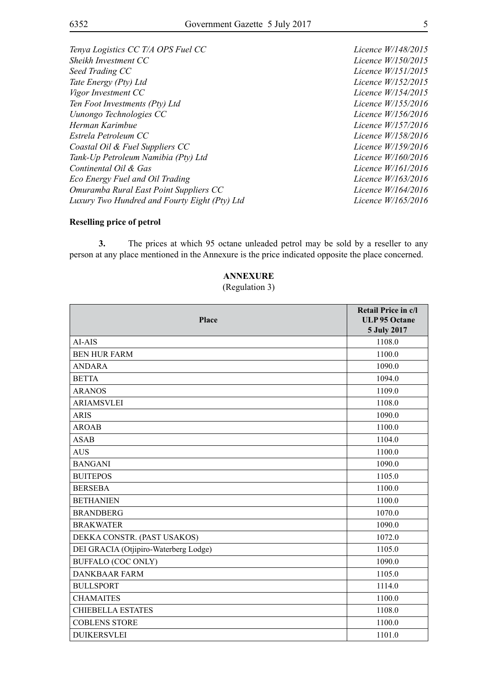*Tenya Logistics CC T/A OPS Fuel CC* Licence W/148/2015 *Sheikh Investment CC Licence W/150/2015 Seed Trading CC Licence W/151/2015 Tate Energy (Pty) Ltd Licence W/152/2015 Vigor Investment CC Licence W/154/2015 Ten Foot Investments (Pty) Ltd Licence W/155/2016 Uunongo Technologies CC* Licence W/156/2016 *Herman Karimbue Licence W/157/2016 Estrela Petroleum CC Licence W/158/2016 Coastal Oil & Fuel Suppliers CC* Licence W/159/2016 *Tank-Up Petroleum Namibia (Pty) Ltd Licence W/160/2016*<br> *Continental Oil & Gas Licence W/161/2016 Continental Oil & Gas Eco Energy Fuel and Oil Trading Licence W/163/2016 Omuramba Rural East Point Suppliers CC* Licence W/164/2016 *Luxury Two Hundred and Fourty Eight (Pty) Ltd Licence W/165/2016*

#### **Reselling price of petrol**

**3.** The prices at which 95 octane unleaded petrol may be sold by a reseller to any person at any place mentioned in the Annexure is the price indicated opposite the place concerned.

### **ANNEXURE**

(Regulation 3)

| <b>Place</b>                          | Retail Price in c/l<br><b>ULP 95 Octane</b><br>5 July 2017 |
|---------------------------------------|------------------------------------------------------------|
| AI-AIS                                | 1108.0                                                     |
| <b>BEN HUR FARM</b>                   | 1100.0                                                     |
| <b>ANDARA</b>                         | 1090.0                                                     |
| <b>BETTA</b>                          | 1094.0                                                     |
| <b>ARANOS</b>                         | 1109.0                                                     |
| <b>ARIAMSVLEI</b>                     | 1108.0                                                     |
| <b>ARIS</b>                           | 1090.0                                                     |
| <b>AROAB</b>                          | 1100.0                                                     |
| <b>ASAB</b>                           | 1104.0                                                     |
| <b>AUS</b>                            | 1100.0                                                     |
| <b>BANGANI</b>                        | 1090.0                                                     |
| <b>BUITEPOS</b>                       | 1105.0                                                     |
| <b>BERSEBA</b>                        | 1100.0                                                     |
| <b>BETHANIEN</b>                      | 1100.0                                                     |
| <b>BRANDBERG</b>                      | 1070.0                                                     |
| <b>BRAKWATER</b>                      | 1090.0                                                     |
| DEKKA CONSTR. (PAST USAKOS)           | 1072.0                                                     |
| DEI GRACIA (Otjipiro-Waterberg Lodge) | 1105.0                                                     |
| <b>BUFFALO (COC ONLY)</b>             | 1090.0                                                     |
| <b>DANKBAAR FARM</b>                  | 1105.0                                                     |
| <b>BULLSPORT</b>                      | 1114.0                                                     |
| <b>CHAMAITES</b>                      | 1100.0                                                     |
| <b>CHIEBELLA ESTATES</b>              | 1108.0                                                     |
| <b>COBLENS STORE</b>                  | 1100.0                                                     |
| <b>DUIKERSVLEI</b>                    | 1101.0                                                     |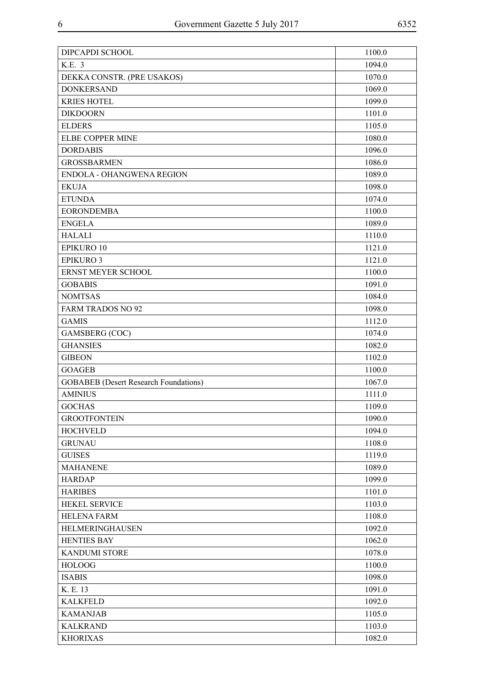| K.E. 3<br>1094.0<br>DEKKA CONSTR. (PRE USAKOS)<br>1070.0<br><b>DONKERSAND</b><br>1069.0<br><b>KRIES HOTEL</b><br>1099.0<br><b>DIKDOORN</b><br>1101.0<br><b>ELDERS</b><br>1105.0<br>ELBE COPPER MINE<br>1080.0<br><b>DORDABIS</b><br>1096.0<br><b>GROSSBARMEN</b><br>1086.0<br>ENDOLA - OHANGWENA REGION<br>1089.0<br><b>EKUJA</b><br>1098.0<br><b>ETUNDA</b><br>1074.0<br><b>EORONDEMBA</b><br>1100.0<br><b>ENGELA</b><br>1089.0<br><b>HALALI</b><br>1110.0<br>EPIKURO 10<br>1121.0<br><b>EPIKURO 3</b><br>1121.0<br>ERNST MEYER SCHOOL<br>1100.0<br><b>GOBABIS</b><br>1091.0<br><b>NOMTSAS</b><br>1084.0<br><b>FARM TRADOS NO 92</b><br>1098.0<br><b>GAMIS</b><br>1112.0<br>GAMSBERG (COC)<br>1074.0<br><b>GHANSIES</b><br>1082.0<br><b>GIBEON</b><br>1102.0<br>1100.0<br><b>GOAGEB</b><br><b>GOBABEB</b> (Desert Research Foundations)<br>1067.0<br><b>AMINIUS</b><br>1111.0<br><b>GOCHAS</b><br>1109.0<br>1090.0<br><b>GROOTFONTEIN</b><br><b>HOCHVELD</b><br>1094.0<br>1108.0<br><b>GRUNAU</b><br><b>GUISES</b><br>1119.0<br>1089.0<br><b>MAHANENE</b><br><b>HARDAP</b><br>1099.0<br>1101.0<br><b>HARIBES</b><br><b>HEKEL SERVICE</b><br>1103.0<br><b>HELENA FARM</b><br>1108.0<br>HELMERINGHAUSEN<br>1092.0<br><b>HENTIES BAY</b><br>1062.0<br><b>KANDUMI STORE</b><br>1078.0<br><b>HOLOOG</b><br>1100.0<br><b>ISABIS</b><br>1098.0<br>K. E. 13<br>1091.0<br><b>KALKFELD</b><br>1092.0<br>1105.0<br><b>KAMANJAB</b><br><b>KALKRAND</b><br>1103.0<br><b>KHORIXAS</b><br>1082.0 | DIPCAPDI SCHOOL | 1100.0 |
|------------------------------------------------------------------------------------------------------------------------------------------------------------------------------------------------------------------------------------------------------------------------------------------------------------------------------------------------------------------------------------------------------------------------------------------------------------------------------------------------------------------------------------------------------------------------------------------------------------------------------------------------------------------------------------------------------------------------------------------------------------------------------------------------------------------------------------------------------------------------------------------------------------------------------------------------------------------------------------------------------------------------------------------------------------------------------------------------------------------------------------------------------------------------------------------------------------------------------------------------------------------------------------------------------------------------------------------------------------------------------------------------------------------------------------------------------------------------------------|-----------------|--------|
|                                                                                                                                                                                                                                                                                                                                                                                                                                                                                                                                                                                                                                                                                                                                                                                                                                                                                                                                                                                                                                                                                                                                                                                                                                                                                                                                                                                                                                                                                    |                 |        |
|                                                                                                                                                                                                                                                                                                                                                                                                                                                                                                                                                                                                                                                                                                                                                                                                                                                                                                                                                                                                                                                                                                                                                                                                                                                                                                                                                                                                                                                                                    |                 |        |
|                                                                                                                                                                                                                                                                                                                                                                                                                                                                                                                                                                                                                                                                                                                                                                                                                                                                                                                                                                                                                                                                                                                                                                                                                                                                                                                                                                                                                                                                                    |                 |        |
|                                                                                                                                                                                                                                                                                                                                                                                                                                                                                                                                                                                                                                                                                                                                                                                                                                                                                                                                                                                                                                                                                                                                                                                                                                                                                                                                                                                                                                                                                    |                 |        |
|                                                                                                                                                                                                                                                                                                                                                                                                                                                                                                                                                                                                                                                                                                                                                                                                                                                                                                                                                                                                                                                                                                                                                                                                                                                                                                                                                                                                                                                                                    |                 |        |
|                                                                                                                                                                                                                                                                                                                                                                                                                                                                                                                                                                                                                                                                                                                                                                                                                                                                                                                                                                                                                                                                                                                                                                                                                                                                                                                                                                                                                                                                                    |                 |        |
|                                                                                                                                                                                                                                                                                                                                                                                                                                                                                                                                                                                                                                                                                                                                                                                                                                                                                                                                                                                                                                                                                                                                                                                                                                                                                                                                                                                                                                                                                    |                 |        |
|                                                                                                                                                                                                                                                                                                                                                                                                                                                                                                                                                                                                                                                                                                                                                                                                                                                                                                                                                                                                                                                                                                                                                                                                                                                                                                                                                                                                                                                                                    |                 |        |
|                                                                                                                                                                                                                                                                                                                                                                                                                                                                                                                                                                                                                                                                                                                                                                                                                                                                                                                                                                                                                                                                                                                                                                                                                                                                                                                                                                                                                                                                                    |                 |        |
|                                                                                                                                                                                                                                                                                                                                                                                                                                                                                                                                                                                                                                                                                                                                                                                                                                                                                                                                                                                                                                                                                                                                                                                                                                                                                                                                                                                                                                                                                    |                 |        |
|                                                                                                                                                                                                                                                                                                                                                                                                                                                                                                                                                                                                                                                                                                                                                                                                                                                                                                                                                                                                                                                                                                                                                                                                                                                                                                                                                                                                                                                                                    |                 |        |
|                                                                                                                                                                                                                                                                                                                                                                                                                                                                                                                                                                                                                                                                                                                                                                                                                                                                                                                                                                                                                                                                                                                                                                                                                                                                                                                                                                                                                                                                                    |                 |        |
|                                                                                                                                                                                                                                                                                                                                                                                                                                                                                                                                                                                                                                                                                                                                                                                                                                                                                                                                                                                                                                                                                                                                                                                                                                                                                                                                                                                                                                                                                    |                 |        |
|                                                                                                                                                                                                                                                                                                                                                                                                                                                                                                                                                                                                                                                                                                                                                                                                                                                                                                                                                                                                                                                                                                                                                                                                                                                                                                                                                                                                                                                                                    |                 |        |
|                                                                                                                                                                                                                                                                                                                                                                                                                                                                                                                                                                                                                                                                                                                                                                                                                                                                                                                                                                                                                                                                                                                                                                                                                                                                                                                                                                                                                                                                                    |                 |        |
|                                                                                                                                                                                                                                                                                                                                                                                                                                                                                                                                                                                                                                                                                                                                                                                                                                                                                                                                                                                                                                                                                                                                                                                                                                                                                                                                                                                                                                                                                    |                 |        |
|                                                                                                                                                                                                                                                                                                                                                                                                                                                                                                                                                                                                                                                                                                                                                                                                                                                                                                                                                                                                                                                                                                                                                                                                                                                                                                                                                                                                                                                                                    |                 |        |
|                                                                                                                                                                                                                                                                                                                                                                                                                                                                                                                                                                                                                                                                                                                                                                                                                                                                                                                                                                                                                                                                                                                                                                                                                                                                                                                                                                                                                                                                                    |                 |        |
|                                                                                                                                                                                                                                                                                                                                                                                                                                                                                                                                                                                                                                                                                                                                                                                                                                                                                                                                                                                                                                                                                                                                                                                                                                                                                                                                                                                                                                                                                    |                 |        |
|                                                                                                                                                                                                                                                                                                                                                                                                                                                                                                                                                                                                                                                                                                                                                                                                                                                                                                                                                                                                                                                                                                                                                                                                                                                                                                                                                                                                                                                                                    |                 |        |
|                                                                                                                                                                                                                                                                                                                                                                                                                                                                                                                                                                                                                                                                                                                                                                                                                                                                                                                                                                                                                                                                                                                                                                                                                                                                                                                                                                                                                                                                                    |                 |        |
|                                                                                                                                                                                                                                                                                                                                                                                                                                                                                                                                                                                                                                                                                                                                                                                                                                                                                                                                                                                                                                                                                                                                                                                                                                                                                                                                                                                                                                                                                    |                 |        |
|                                                                                                                                                                                                                                                                                                                                                                                                                                                                                                                                                                                                                                                                                                                                                                                                                                                                                                                                                                                                                                                                                                                                                                                                                                                                                                                                                                                                                                                                                    |                 |        |
|                                                                                                                                                                                                                                                                                                                                                                                                                                                                                                                                                                                                                                                                                                                                                                                                                                                                                                                                                                                                                                                                                                                                                                                                                                                                                                                                                                                                                                                                                    |                 |        |
|                                                                                                                                                                                                                                                                                                                                                                                                                                                                                                                                                                                                                                                                                                                                                                                                                                                                                                                                                                                                                                                                                                                                                                                                                                                                                                                                                                                                                                                                                    |                 |        |
|                                                                                                                                                                                                                                                                                                                                                                                                                                                                                                                                                                                                                                                                                                                                                                                                                                                                                                                                                                                                                                                                                                                                                                                                                                                                                                                                                                                                                                                                                    |                 |        |
|                                                                                                                                                                                                                                                                                                                                                                                                                                                                                                                                                                                                                                                                                                                                                                                                                                                                                                                                                                                                                                                                                                                                                                                                                                                                                                                                                                                                                                                                                    |                 |        |
|                                                                                                                                                                                                                                                                                                                                                                                                                                                                                                                                                                                                                                                                                                                                                                                                                                                                                                                                                                                                                                                                                                                                                                                                                                                                                                                                                                                                                                                                                    |                 |        |
|                                                                                                                                                                                                                                                                                                                                                                                                                                                                                                                                                                                                                                                                                                                                                                                                                                                                                                                                                                                                                                                                                                                                                                                                                                                                                                                                                                                                                                                                                    |                 |        |
|                                                                                                                                                                                                                                                                                                                                                                                                                                                                                                                                                                                                                                                                                                                                                                                                                                                                                                                                                                                                                                                                                                                                                                                                                                                                                                                                                                                                                                                                                    |                 |        |
|                                                                                                                                                                                                                                                                                                                                                                                                                                                                                                                                                                                                                                                                                                                                                                                                                                                                                                                                                                                                                                                                                                                                                                                                                                                                                                                                                                                                                                                                                    |                 |        |
|                                                                                                                                                                                                                                                                                                                                                                                                                                                                                                                                                                                                                                                                                                                                                                                                                                                                                                                                                                                                                                                                                                                                                                                                                                                                                                                                                                                                                                                                                    |                 |        |
|                                                                                                                                                                                                                                                                                                                                                                                                                                                                                                                                                                                                                                                                                                                                                                                                                                                                                                                                                                                                                                                                                                                                                                                                                                                                                                                                                                                                                                                                                    |                 |        |
|                                                                                                                                                                                                                                                                                                                                                                                                                                                                                                                                                                                                                                                                                                                                                                                                                                                                                                                                                                                                                                                                                                                                                                                                                                                                                                                                                                                                                                                                                    |                 |        |
|                                                                                                                                                                                                                                                                                                                                                                                                                                                                                                                                                                                                                                                                                                                                                                                                                                                                                                                                                                                                                                                                                                                                                                                                                                                                                                                                                                                                                                                                                    |                 |        |
|                                                                                                                                                                                                                                                                                                                                                                                                                                                                                                                                                                                                                                                                                                                                                                                                                                                                                                                                                                                                                                                                                                                                                                                                                                                                                                                                                                                                                                                                                    |                 |        |
|                                                                                                                                                                                                                                                                                                                                                                                                                                                                                                                                                                                                                                                                                                                                                                                                                                                                                                                                                                                                                                                                                                                                                                                                                                                                                                                                                                                                                                                                                    |                 |        |
|                                                                                                                                                                                                                                                                                                                                                                                                                                                                                                                                                                                                                                                                                                                                                                                                                                                                                                                                                                                                                                                                                                                                                                                                                                                                                                                                                                                                                                                                                    |                 |        |
|                                                                                                                                                                                                                                                                                                                                                                                                                                                                                                                                                                                                                                                                                                                                                                                                                                                                                                                                                                                                                                                                                                                                                                                                                                                                                                                                                                                                                                                                                    |                 |        |
|                                                                                                                                                                                                                                                                                                                                                                                                                                                                                                                                                                                                                                                                                                                                                                                                                                                                                                                                                                                                                                                                                                                                                                                                                                                                                                                                                                                                                                                                                    |                 |        |
|                                                                                                                                                                                                                                                                                                                                                                                                                                                                                                                                                                                                                                                                                                                                                                                                                                                                                                                                                                                                                                                                                                                                                                                                                                                                                                                                                                                                                                                                                    |                 |        |
|                                                                                                                                                                                                                                                                                                                                                                                                                                                                                                                                                                                                                                                                                                                                                                                                                                                                                                                                                                                                                                                                                                                                                                                                                                                                                                                                                                                                                                                                                    |                 |        |
|                                                                                                                                                                                                                                                                                                                                                                                                                                                                                                                                                                                                                                                                                                                                                                                                                                                                                                                                                                                                                                                                                                                                                                                                                                                                                                                                                                                                                                                                                    |                 |        |
|                                                                                                                                                                                                                                                                                                                                                                                                                                                                                                                                                                                                                                                                                                                                                                                                                                                                                                                                                                                                                                                                                                                                                                                                                                                                                                                                                                                                                                                                                    |                 |        |
|                                                                                                                                                                                                                                                                                                                                                                                                                                                                                                                                                                                                                                                                                                                                                                                                                                                                                                                                                                                                                                                                                                                                                                                                                                                                                                                                                                                                                                                                                    |                 |        |
|                                                                                                                                                                                                                                                                                                                                                                                                                                                                                                                                                                                                                                                                                                                                                                                                                                                                                                                                                                                                                                                                                                                                                                                                                                                                                                                                                                                                                                                                                    |                 |        |
|                                                                                                                                                                                                                                                                                                                                                                                                                                                                                                                                                                                                                                                                                                                                                                                                                                                                                                                                                                                                                                                                                                                                                                                                                                                                                                                                                                                                                                                                                    |                 |        |
|                                                                                                                                                                                                                                                                                                                                                                                                                                                                                                                                                                                                                                                                                                                                                                                                                                                                                                                                                                                                                                                                                                                                                                                                                                                                                                                                                                                                                                                                                    |                 |        |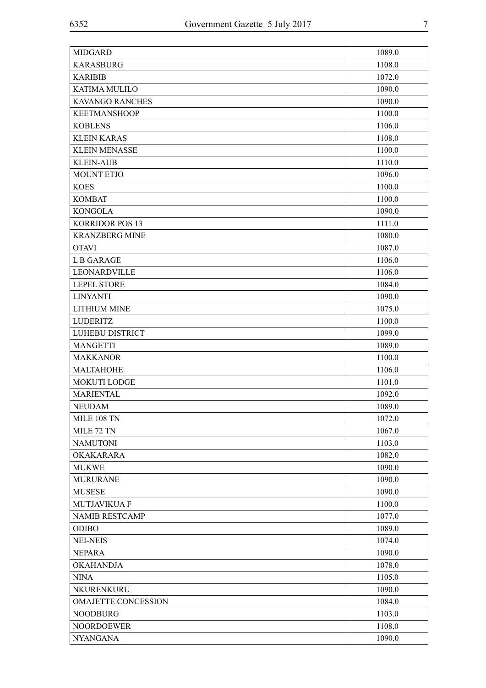| <b>MIDGARD</b>             | 1089.0 |
|----------------------------|--------|
| <b>KARASBURG</b>           | 1108.0 |
| <b>KARIBIB</b>             | 1072.0 |
| <b>KATIMA MULILO</b>       | 1090.0 |
| <b>KAVANGO RANCHES</b>     | 1090.0 |
| <b>KEETMANSHOOP</b>        | 1100.0 |
| <b>KOBLENS</b>             | 1106.0 |
| <b>KLEIN KARAS</b>         | 1108.0 |
| <b>KLEIN MENASSE</b>       | 1100.0 |
| <b>KLEIN-AUB</b>           | 1110.0 |
| <b>MOUNT ETJO</b>          | 1096.0 |
| <b>KOES</b>                | 1100.0 |
| <b>KOMBAT</b>              | 1100.0 |
| <b>KONGOLA</b>             | 1090.0 |
| <b>KORRIDOR POS 13</b>     | 1111.0 |
| <b>KRANZBERG MINE</b>      | 1080.0 |
| <b>OTAVI</b>               | 1087.0 |
| L B GARAGE                 | 1106.0 |
| LEONARDVILLE               | 1106.0 |
| <b>LEPEL STORE</b>         | 1084.0 |
| <b>LINYANTI</b>            | 1090.0 |
| <b>LITHIUM MINE</b>        | 1075.0 |
| <b>LUDERITZ</b>            | 1100.0 |
| LUHEBU DISTRICT            | 1099.0 |
| <b>MANGETTI</b>            | 1089.0 |
| <b>MAKKANOR</b>            | 1100.0 |
| <b>MALTAHOHE</b>           | 1106.0 |
| <b>MOKUTI LODGE</b>        | 1101.0 |
| <b>MARIENTAL</b>           | 1092.0 |
| <b>NEUDAM</b>              | 1089.0 |
| MILE 108 TN                | 1072.0 |
| MILE 72 TN                 | 1067.0 |
| <b>NAMUTONI</b>            | 1103.0 |
| <b>OKAKARARA</b>           | 1082.0 |
| <b>MUKWE</b>               | 1090.0 |
| <b>MURURANE</b>            | 1090.0 |
| <b>MUSESE</b>              | 1090.0 |
| <b>MUTJAVIKUA F</b>        | 1100.0 |
| <b>NAMIB RESTCAMP</b>      | 1077.0 |
| <b>ODIBO</b>               | 1089.0 |
| <b>NEI-NEIS</b>            | 1074.0 |
| <b>NEPARA</b>              | 1090.0 |
| <b>OKAHANDJA</b>           | 1078.0 |
| <b>NINA</b>                | 1105.0 |
| NKURENKURU                 | 1090.0 |
| <b>OMAJETTE CONCESSION</b> | 1084.0 |
| <b>NOODBURG</b>            | 1103.0 |
| <b>NOORDOEWER</b>          | 1108.0 |
| <b>NYANGANA</b>            | 1090.0 |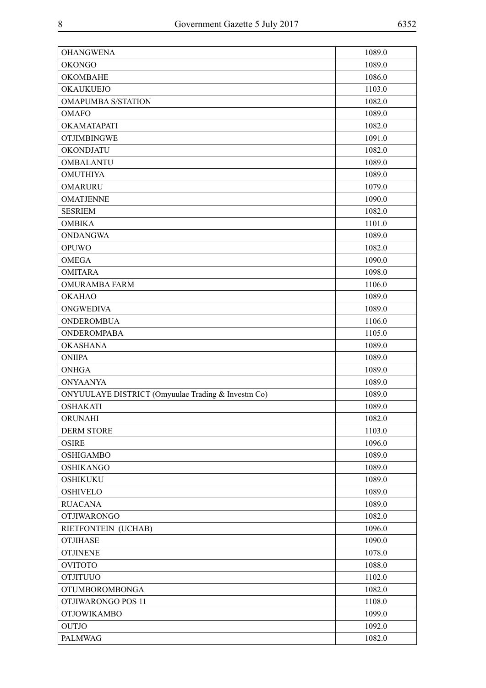| <b>OHANGWENA</b>                                   | 1089.0 |
|----------------------------------------------------|--------|
| <b>OKONGO</b>                                      | 1089.0 |
| <b>OKOMBAHE</b>                                    | 1086.0 |
| <b>OKAUKUEJO</b>                                   | 1103.0 |
| <b>OMAPUMBA S/STATION</b>                          | 1082.0 |
| <b>OMAFO</b>                                       | 1089.0 |
| OKAMATAPATI                                        | 1082.0 |
| <b>OTJIMBINGWE</b>                                 | 1091.0 |
| OKONDJATU                                          | 1082.0 |
| <b>OMBALANTU</b>                                   | 1089.0 |
| <b>OMUTHIYA</b>                                    | 1089.0 |
| <b>OMARURU</b>                                     | 1079.0 |
| <b>OMATJENNE</b>                                   | 1090.0 |
| <b>SESRIEM</b>                                     | 1082.0 |
| <b>OMBIKA</b>                                      | 1101.0 |
| <b>ONDANGWA</b>                                    | 1089.0 |
| <b>OPUWO</b>                                       | 1082.0 |
| <b>OMEGA</b>                                       | 1090.0 |
| <b>OMITARA</b>                                     | 1098.0 |
| <b>OMURAMBA FARM</b>                               | 1106.0 |
| <b>OKAHAO</b>                                      | 1089.0 |
| <b>ONGWEDIVA</b>                                   | 1089.0 |
| <b>ONDEROMBUA</b>                                  | 1106.0 |
| <b>ONDEROMPABA</b>                                 | 1105.0 |
| <b>OKASHANA</b>                                    | 1089.0 |
| <b>ONIIPA</b>                                      | 1089.0 |
| <b>ONHGA</b>                                       | 1089.0 |
| <b>ONYAANYA</b>                                    | 1089.0 |
| ONYUULAYE DISTRICT (Omyuulae Trading & Investm Co) | 1089.0 |
| <b>OSHAKATI</b>                                    | 1089.0 |
| ORUNAHI                                            | 1082.0 |
| <b>DERM STORE</b>                                  | 1103.0 |
| <b>OSIRE</b>                                       | 1096.0 |
| <b>OSHIGAMBO</b>                                   | 1089.0 |
| <b>OSHIKANGO</b>                                   | 1089.0 |
| <b>OSHIKUKU</b>                                    | 1089.0 |
| <b>OSHIVELO</b>                                    | 1089.0 |
| <b>RUACANA</b>                                     | 1089.0 |
| <b>OTJIWARONGO</b>                                 | 1082.0 |
| RIETFONTEIN (UCHAB)                                | 1096.0 |
| <b>OTJIHASE</b>                                    | 1090.0 |
| <b>OTJINENE</b>                                    | 1078.0 |
| <b>OVITOTO</b>                                     | 1088.0 |
| <b>OTJITUUO</b>                                    | 1102.0 |
| <b>OTUMBOROMBONGA</b>                              | 1082.0 |
| OTJIWARONGO POS 11                                 | 1108.0 |
| <b>OTJOWIKAMBO</b>                                 | 1099.0 |
| <b>OUTJO</b>                                       | 1092.0 |
| <b>PALMWAG</b>                                     | 1082.0 |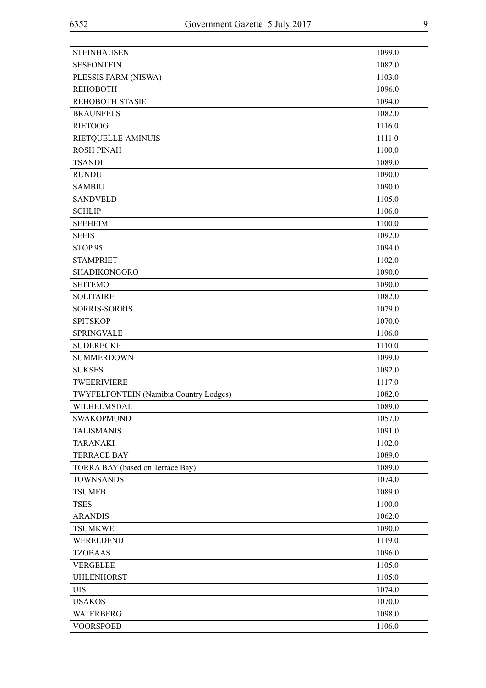| <b>STEINHAUSEN</b>                            | 1099.0 |
|-----------------------------------------------|--------|
| <b>SESFONTEIN</b>                             | 1082.0 |
| PLESSIS FARM (NISWA)                          | 1103.0 |
| <b>REHOBOTH</b>                               | 1096.0 |
| <b>REHOBOTH STASIE</b>                        | 1094.0 |
| <b>BRAUNFELS</b>                              | 1082.0 |
| <b>RIETOOG</b>                                | 1116.0 |
| RIETQUELLE-AMINUIS                            | 1111.0 |
| <b>ROSH PINAH</b>                             | 1100.0 |
| <b>TSANDI</b>                                 | 1089.0 |
| <b>RUNDU</b>                                  | 1090.0 |
| <b>SAMBIU</b>                                 | 1090.0 |
| <b>SANDVELD</b>                               | 1105.0 |
| <b>SCHLIP</b>                                 | 1106.0 |
| <b>SEEHEIM</b>                                | 1100.0 |
| <b>SEEIS</b>                                  | 1092.0 |
| STOP <sub>95</sub>                            | 1094.0 |
| <b>STAMPRIET</b>                              | 1102.0 |
| <b>SHADIKONGORO</b>                           | 1090.0 |
| <b>SHITEMO</b>                                | 1090.0 |
| <b>SOLITAIRE</b>                              | 1082.0 |
| <b>SORRIS-SORRIS</b>                          | 1079.0 |
| <b>SPITSKOP</b>                               | 1070.0 |
| <b>SPRINGVALE</b>                             | 1106.0 |
| <b>SUDERECKE</b>                              | 1110.0 |
| <b>SUMMERDOWN</b>                             | 1099.0 |
| <b>SUKSES</b>                                 | 1092.0 |
| <b>TWEERIVIERE</b>                            | 1117.0 |
| <b>TWYFELFONTEIN</b> (Namibia Country Lodges) | 1082.0 |
| WILHELMSDAL                                   | 1089.0 |
| <b>SWAKOPMUND</b>                             | 1057.0 |
| <b>TALISMANIS</b>                             | 1091.0 |
| <b>TARANAKI</b>                               | 1102.0 |
| <b>TERRACE BAY</b>                            | 1089.0 |
| TORRA BAY (based on Terrace Bay)              | 1089.0 |
| <b>TOWNSANDS</b>                              | 1074.0 |
| <b>TSUMEB</b>                                 | 1089.0 |
| <b>TSES</b>                                   | 1100.0 |
| <b>ARANDIS</b>                                | 1062.0 |
| <b>TSUMKWE</b>                                | 1090.0 |
| WERELDEND                                     | 1119.0 |
| <b>TZOBAAS</b>                                | 1096.0 |
| <b>VERGELEE</b>                               | 1105.0 |
| <b>UHLENHORST</b>                             | 1105.0 |
| <b>UIS</b>                                    | 1074.0 |
| <b>USAKOS</b>                                 | 1070.0 |
| <b>WATERBERG</b>                              | 1098.0 |
| <b>VOORSPOED</b>                              | 1106.0 |
|                                               |        |